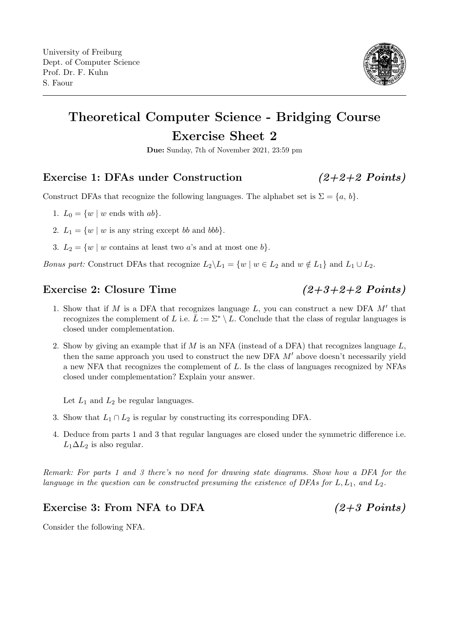

## Theoretical Computer Science - Bridging Course Exercise Sheet 2

Due: Sunday, 7th of November 2021, 23:59 pm

## Exercise 1: DFAs under Construction (2+2+2 Points)

Construct DFAs that recognize the following languages. The alphabet set is  $\Sigma = \{a, b\}$ .

1.  $L_0 = \{w \mid w \text{ ends with } ab\}.$ 

- 2.  $L_1 = \{w \mid w \text{ is any string except } bb \text{ and } bbb\}.$
- 3.  $L_2 = \{w \mid w \text{ contains at least two } a\text{'s and at most one } b\}.$

Bonus part: Construct DFAs that recognize  $L_2 \backslash L_1 = \{w \mid w \in L_2 \text{ and } w \notin L_1\}$  and  $L_1 \cup L_2$ .

## Exercise 2: Closure Time  $(2+3+2+2$  Points)

- 1. Show that if  $M$  is a DFA that recognizes language  $L$ , you can construct a new DFA  $M'$  that recognizes the complement of L i.e.  $\bar{L} := \Sigma^* \setminus L$ . Conclude that the class of regular languages is closed under complementation.
- 2. Show by giving an example that if  $M$  is an NFA (instead of a DFA) that recognizes language  $L$ , then the same approach you used to construct the new DFA  $M'$  above doesn't necessarily yield a new NFA that recognizes the complement of L. Is the class of languages recognized by NFAs closed under complementation? Explain your answer.

Let  $L_1$  and  $L_2$  be regular languages.

- 3. Show that  $L_1 \cap L_2$  is regular by constructing its corresponding DFA.
- 4. Deduce from parts 1 and 3 that regular languages are closed under the symmetric difference i.e.  $L_1 \Delta L_2$  is also regular.

Remark: For parts 1 and 3 there's no need for drawing state diagrams. Show how a DFA for the language in the question can be constructed presuming the existence of DFAs for  $L, L_1$ , and  $L_2$ .

## Exercise 3: From NFA to DFA  $(2+3$  Points)

Consider the following NFA.